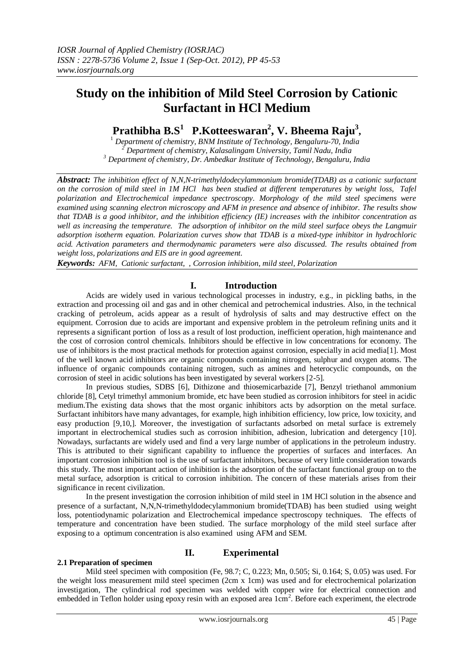# **Study on the inhibition of Mild Steel Corrosion by Cationic Surfactant in HCl Medium**

# **Prathibha B.S<sup>1</sup> P.Kotteeswaran<sup>2</sup> , V. Bheema Raju<sup>3</sup> ,**

<sup>1</sup> *Department of chemistry, BNM Institute of Technology, Bengaluru-70, India <sup>2</sup> Department of chemistry, Kalasalingam University, Tamil Nadu, India <sup>3</sup> Department of chemistry, Dr. Ambedkar Institute of Technology, Bengaluru, India*

*Abstract: The inhibition effect of N,N,N-trimethyldodecylammonium bromide(TDAB) as a cationic surfactant on the corrosion of mild steel in 1M HCl has been studied at different temperatures by weight loss, Tafel polarization and Electrochemical impedance spectroscopy. Morphology of the mild steel specimens were examined using scanning electron microscopy and AFM in presence and absence of inhibitor. The results show that TDAB is a good inhibitor, and the inhibition efficiency (IE) increases with the inhibitor concentration as well as increasing the temperature. The adsorption of inhibitor on the mild steel surface obeys the Langmuir adsorption isotherm equation. Polarization curves show that TDAB is a mixed-type inhibitor in hydrochloric acid. Activation parameters and thermodynamic parameters were also discussed. The results obtained from weight loss, polarizations and EIS are in good agreement.*

*Keywords: AFM, Cationic surfactant, , Corrosion inhibition, mild steel, Polarization*

# **I. Introduction**

Acids are widely used in various technological processes in industry, e.g., in pickling baths, in the extraction and processing oil and gas and in other chemical and petrochemical industries. Also, in the technical cracking of petroleum, acids appear as a result of hydrolysis of salts and may destructive effect on the equipment. Corrosion due to acids are important and expensive problem in the petroleum refining units and it represents a significant portion of loss as a result of lost production, inefficient operation, high maintenance and the cost of corrosion control chemicals. Inhibitors should be effective in low concentrations for economy. The use of inhibitors is the most practical methods for protection against corrosion, especially in acid media[1]. Most of the well known acid inhibitors are organic compounds containing nitrogen, sulphur and oxygen atoms. The influence of organic compounds containing nitrogen, such as amines and heterocyclic compounds, on the corrosion of steel in acidic solutions has been investigated by several workers [2-5].

In previous studies, SDBS [6], Dithizone and thiosemicarbazide [7], Benzyl triethanol ammonium chloride [8], Cetyl trimethyl ammonium bromide, etc have been studied as corrosion inhibitors for steel in acidic medium.The existing data shows that the most organic inhibitors acts by adsorption on the metal surface. Surfactant inhibitors have many advantages, for example, high inhibition efficiency, low price, low toxicity, and easy production [9,10,]. Moreover, the investigation of surfactants adsorbed on metal surface is extremely important in electrochemical studies such as corrosion inhibition, adhesion, lubrication and detergency [10]. Nowadays, surfactants are widely used and find a very large number of applications in the petroleum industry. This is attributed to their significant capability to influence the properties of surfaces and interfaces. An important corrosion inhibition tool is the use of surfactant inhibitors, because of very little consideration towards this study. The most important action of inhibition is the adsorption of the surfactant functional group on to the metal surface, adsorption is critical to corrosion inhibition. The concern of these materials arises from their significance in recent civilization.

In the present investigation the corrosion inhibition of mild steel in 1M HCl solution in the absence and presence of a surfactant, N,N,N-trimethyldodecylammonium bromide(TDAB) has been studied using weight loss, potentiodynamic polarization and Electrochemical impedance spectroscopy techniques. The effects of temperature and concentration have been studied. The surface morphology of the mild steel surface after exposing to a optimum concentration is also examined using AFM and SEM.

# **II. Experimental**

## **2.1 Preparation of specimen**

Mild steel specimen with composition (Fe, 98.7; C, 0.223; Mn, 0.505; Si, 0.164; S, 0.05) was used. For the weight loss measurement mild steel specimen (2cm x 1cm) was used and for electrochemical polarization investigation, The cylindrical rod specimen was welded with copper wire for electrical connection and embedded in Teflon holder using epoxy resin with an exposed area 1cm<sup>2</sup>. Before each experiment, the electrode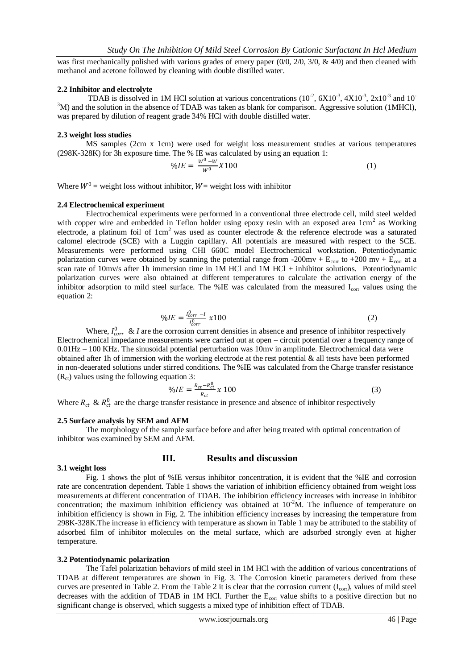was first mechanically polished with various grades of emery paper  $(0/0, 2/0, 3/0, \& 4/0)$  and then cleaned with methanol and acetone followed by cleaning with double distilled water.

## **2.2 Inhibitor and electrolyte**

TDAB is dissolved in 1M HCl solution at various concentrations  $(10^{-2}, 6X10^{-3}, 4X10^{-3}, 2x10^{-3}$  and 10<sup>-</sup>  $3<sup>3</sup>M$ ) and the solution in the absence of TDAB was taken as blank for comparison. Aggressive solution (1MHCl), was prepared by dilution of reagent grade 34% HCl with double distilled water.

## **2.3 weight loss studies**

MS samples (2cm x 1cm) were used for weight loss measurement studies at various temperatures (298K-328K) for 3h exposure time. The % IE was calculated by using an equation 1:

$$
\%lE = \frac{W^0 - W}{W^0}X100\tag{1}
$$

Where  $W^0$  = weight loss without inhibitor,  $W$  = weight loss with inhibitor

## **2.4 Electrochemical experiment**

Electrochemical experiments were performed in a conventional three electrode cell, mild steel welded with copper wire and embedded in Teflon holder using epoxy resin with an exposed area 1cm<sup>2</sup> as Working electrode, a platinum foil of  $1 \text{ cm}^2$  was used as counter electrode & the reference electrode was a saturated calomel electrode (SCE) with a Luggin capillary. All potentials are measured with respect to the SCE. Measurements were performed using CHI 660C model Electrochemical workstation. Potentiodynamic polarization curves were obtained by scanning the potential range from -200mv +  $E_{corr}$  to +200 mv +  $E_{corr}$  at a scan rate of 10mv/s after 1h immersion time in 1M HCl and 1M HCl + inhibitor solutions. Potentiodynamic polarization curves were also obtained at different temperatures to calculate the activation energy of the inhibitor adsorption to mild steel surface. The %IE was calculated from the measured  $I_{corr}$  values using the equation 2:

$$
\%IE = \frac{l_{corr}^{0} - l}{l_{corr}^{0}} \; \mathbf{\times} 100 \tag{2}
$$

Where,  $I_{corr}^0 \& I$  are the corrosion current densities in absence and presence of inhibitor respectively Electrochemical impedance measurements were carried out at open – circuit potential over a frequency range of 0.01Hz – 100 KHz. The sinusoidal potential perturbation was 10mv in amplitude. Electrochemical data were obtained after 1h of immersion with the working electrode at the rest potential & all tests have been performed in non-deaerated solutions under stirred conditions. The %IE was calculated from the Charge transfer resistance  $(R<sub>ct</sub>)$  values using the following equation 3:

$$
\%lE = \frac{R_{ct} - R_{ct}^0}{R_{ct}} \times 100\tag{3}
$$

Where  $R_{ct}$  &  $R_{ct}^{0}$  are the charge transfer resistance in presence and absence of inhibitor respectively

## **2.5 Surface analysis by SEM and AFM**

The morphology of the sample surface before and after being treated with optimal concentration of inhibitor was examined by SEM and AFM.

## **3.1 weight loss**

## **III. Results and discussion**

Fig. 1 shows the plot of %IE versus inhibitor concentration, it is evident that the %IE and corrosion rate are concentration dependent. Table 1 shows the variation of inhibition efficiency obtained from weight loss measurements at different concentration of TDAB. The inhibition efficiency increases with increase in inhibitor concentration; the maximum inhibition efficiency was obtained at  $10^{-2}$ M. The influence of temperature on inhibition efficiency is shown in Fig. 2. The inhibition efficiency increases by increasing the temperature from 298K-328K.The increase in efficiency with temperature as shown in Table 1 may be attributed to the stability of adsorbed film of inhibitor molecules on the metal surface, which are adsorbed strongly even at higher temperature.

## **3.2 Potentiodynamic polarization**

The Tafel polarization behaviors of mild steel in 1M HCl with the addition of various concentrations of TDAB at different temperatures are shown in Fig. 3. The Corrosion kinetic parameters derived from these curves are presented in Table 2. From the Table 2 it is clear that the corrosion current  $(I_{\text{corr}})$ , values of mild steel decreases with the addition of TDAB in 1M HCl. Further the  $E_{\text{corr}}$  value shifts to a positive direction but no significant change is observed, which suggests a mixed type of inhibition effect of TDAB.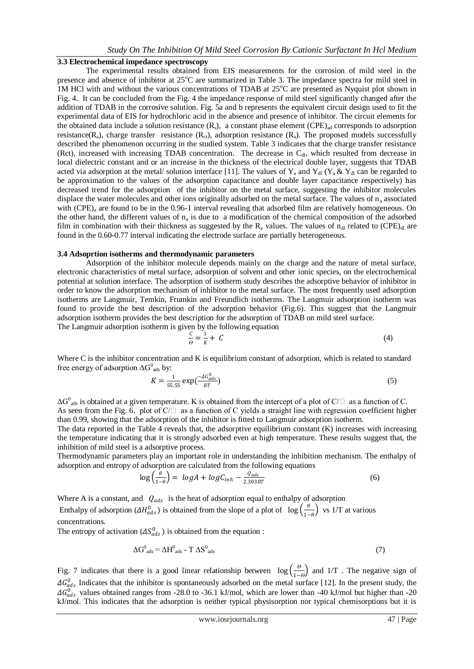## *Study On The Inhibition Of Mild Steel Corrosion By Cationic Surfactant In Hcl Medium*

## **3.3 Electrochemical impedance spectroscopy**

The experimental results obtained from EIS measurements for the corrosion of mild steel in the presence and absence of inhibitor at  $25^{\circ}$ C are summarized in Table 3. The impedance spectra for mild steel in 1M HCl with and without the various concentrations of TDAB at  $25^{\circ}$ C are presented as Nyquist plot shown in Fig. 4. It can be concluded from the Fig. 4 the impedance response of mild steel significantly changed after the addition of TDAB in the corrosive solution. Fig. 5a and b represents the equivalent circuit design used to fit the experimental data of EIS for hydrochloric acid in the absence and presence of inhibitor. The circuit elements for the obtained data include a solution resistance  $(R_s)$ , a constant phase element (CPE)<sub>ad</sub> corresponds to adsorption resistance( $R_a$ ), charge transfer resistance ( $R_{c}$ t), adsorption resistance ( $R_a$ ). The proposed models successfully described the phenomenon occurring in the studied system. Table 3 indicates that the charge transfer resistance (Rct), increased with increasing TDAB concentration. The decrease in  $C_{d}$ , which resulted from decrease in local dielectric constant and or an increase in the thickness of the electrical double layer, suggests that TDAB acted via adsorption at the metal/ solution interface [11]. The values of Y<sub>a</sub> and Y<sub>dl</sub> (Y<sub>a</sub> & Y<sub>dl</sub> can be regarded to be approximation to the values of the adsorption capacitance and double layer capacitance respectively) has decreased trend for the adsorption of the inhibitor on the metal surface, suggesting the inhibitor molecules displace the water molecules and other ions originally adsorbed on the metal surface. The values of  $n_a$  associated with (CPE)<sub>a</sub> are found to be in the 0.96-1 interval revealing that adsorbed film are relatively homogeneous. On the other hand, the different values of  $n_a$  is due to a modification of the chemical composition of the adsorbed film in combination with their thickness as suggested by the  $R_a$  values. The values of  $n_{d}$  related to (CPE) $_{d}$  are found in the 0.60-0.77 interval indicating the electrode surface are partially heterogeneous.

## **3.4 Adsoprtion isotherms and thermodynamic parameters**

Adsorption of the inhibitor molecule depends mainly on the charge and the nature of metal surface, electronic characteristics of metal surface, adsorption of solvent and other ionic species, on the electrochemical potential at solution interface. The adsorption of isotherm study describes the adsorptive behavior of inhibitor in order to know the adsorption mechanism of inhibitor to the metal surface. The most frequently used adsorption isotherms are Langmuir, Temkin, Frumkin and Freundlich isotherms. The Langmuir adsorption isotherm was found to provide the best description of the adsorption behavior (Fig.6). This suggest that the Langmuir adsorption isotherm provides the best description for the adsorption of TDAB on mild steel surface.

The Langmuir adsorption isotherm is given by the following equation  $\mathcal{C}_{0}^{(n)}$ 

*Ѳ*

$$
=\frac{1}{K}+\mathcal{C}\tag{4}
$$

Where C is the inhibitor concentration and K is equilibrium constant of adsorption, which is related to standard free energy of adsorption  $\Delta G^0_{ads}$  by:

$$
K = \frac{1}{55.55} \exp\left(\frac{-\Delta G_{ads}^0}{RT}\right) \tag{5}
$$

 $\Delta G_{\text{ads}}^0$  is obtained at a given temperature. K is obtained from the intercept of a plot of C/ $\Box$  as a function of C. As seen from the Fig. 6, plot of  $C/\Box$  as a function of C yields a straight line with regression coefficient higher than 0.99, showing that the adsorption of the inhibitor is fitted to Langmuir adsorption isotherm.

The data reported in the Table 4 reveals that, the adsorptive equilibrium constant (K) increases with increasing the temperature indicating that it is strongly adsorbed even at high temperature. These results suggest that, the inhibition of mild steel is a adsorptive process.

Thermodynamic parameters play an important role in understanding the inhibition mechanism. The enthalpy of adsorption and entropy of adsorption are calculated from the following equations

$$
\log\left(\frac{\theta}{1-\theta}\right) = \log A + \log C_{inh} - \frac{Q_{ads}}{2.303RT} \tag{6}
$$

Where A is a constant, and  $Q_{ads}$  is the heat of adsorption equal to enthalpy of adsorption Enthalpy of adsorption  $(4H_{ads}^0)$  is obtained from the slope of a plot of  $\log\left(\frac{\theta}{1-\theta}\right)$  $\frac{\sigma}{1-\theta}$  vs 1/T at various concentrations.

The entropy of activation  $(\Delta S^0_{ads})$  is obtained from the equation :

$$
\Delta G_{ads}^0 = \Delta H_{ads}^0 - T \Delta S_{ads}^0 \tag{7}
$$

Fig. 7 indicates that there is a good linear relationship between  $\log(\frac{\theta}{\theta})$  $\frac{6}{1-\theta}$  and 1/T. The negative sign of  $\Delta G_{ads}^0$  Indicates that the inhibitor is spontaneously adsorbed on the metal surface [12]. In the present study, the  $\Delta G_{ads}^0$  values obtained ranges from -28.0 to -36.1 kJ/mol, which are lower than -40 kJ/mol but higher than -20 kJ/mol. This indicates that the adsorption is neither typical physisorption nor typical chemisorptions but it is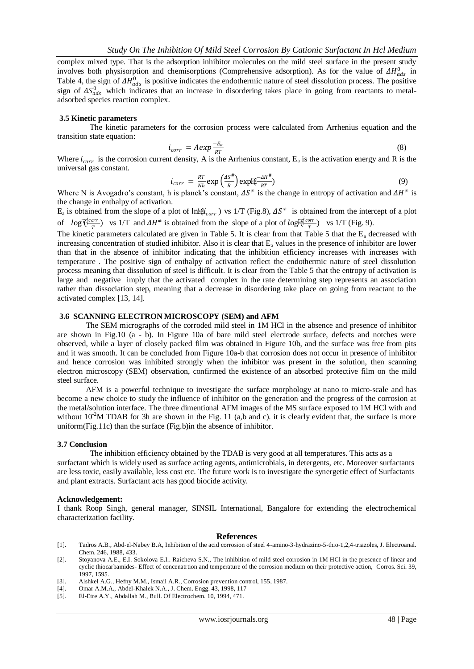complex mixed type. That is the adsorption inhibitor molecules on the mild steel surface in the present study involves both physisorption and chemisorptions (Comprehensive adsorption). As for the value of  $\Delta H_{ads}^0$  in Table 4, the sign of  $\Delta H_{ads}^0$  is positive indicates the endothermic nature of steel dissolution process. The positive sign of  $\Delta S^0_{ads}$  which indicates that an increase in disordering takes place in going from reactants to metaladsorbed species reaction complex.

## **3.5 Kinetic parameters**

The kinetic parameters for the corrosion process were calculated from Arrhenius equation and the transition state equation:

$$
i_{corr} = A \exp \frac{-E_a}{RT} \tag{8}
$$

Where  $i_{corr}$  is the corrosion current density, A is the Arrhenius constant, E<sub>a</sub> is the activation energy and R is the universal gas constant.

$$
i_{corr} = \frac{RT}{Nh} \exp\left(\frac{\Delta S^{\#}}{R}\right) \exp\left(\frac{\Delta H^{\#}}{RT}\right) \tag{9}
$$

Where N is Avogadro's constant, h is planck's constant,  $\Delta S^{\neq}$  is the change in entropy of activation and  $\Delta H^{\neq}$  is the change in enthalpy of activation.

 $E_a$  is obtained from the slope of a plot of ln $\mathbb{R}i_{corr}$ ) vs 1/T (Fig.8),  $\Delta S^{\neq}$  is obtained from the intercept of a plot of  $log(\sqrt{\frac{1}{r}})$  $\frac{r^2}{T}$ ) vs 1/T and  $\Delta H^{\neq}$  is obtained from the slope of a plot of log  $\frac{r^2}{T}$  $\frac{orr}{T}$ ) vs 1/T (Fig. 9).

The kinetic parameters calculated are given in Table 5. It is clear from that Table 5 that the  $E_a$  decreased with increasing concentration of studied inhibitor. Also it is clear that E<sub>a</sub> values in the presence of inhibitor are lower than that in the absence of inhibitor indicating that the inhibition efficiency increases with increases with temperature . The positive sign of enthalpy of activation reflect the endothermic nature of steel dissolution process meaning that dissolution of steel is difficult. It is clear from the Table 5 that the entropy of activation is large and negative imply that the activated complex in the rate determining step represents an association rather than dissociation step, meaning that a decrease in disordering take place on going from reactant to the activated complex [13, 14].

## **3.6 SCANNING ELECTRON MICROSCOPY (SEM) and AFM**

The SEM micrographs of the corroded mild steel in 1M HCl in the absence and presence of inhibitor are shown in Fig.10 (a - b). In Figure 10a of bare mild steel electrode surface, defects and notches were observed, while a layer of closely packed film was obtained in Figure 10b, and the surface was free from pits and it was smooth. It can be concluded from Figure 10a-b that corrosion does not occur in presence of inhibitor and hence corrosion was inhibited strongly when the inhibitor was present in the solution, then scanning electron microscopy (SEM) observation, confirmed the existence of an absorbed protective film on the mild steel surface.

AFM is a powerful technique to investigate the surface morphology at nano to micro-scale and has become a new choice to study the influence of inhibitor on the generation and the progress of the corrosion at the metal/solution interface. The three dimentional AFM images of the MS surface exposed to 1M HCl with and without  $10^{2}$ M TDAB for 3h are shown in the Fig. 11 (a,b and c). it is clearly evident that, the surface is more uniform(Fig.11c) than the surface (Fig.b)in the absence of inhibitor.

#### **3.7 Conclusion**

The inhibition efficiency obtained by the TDAB is very good at all temperatures. This acts as a surfactant which is widely used as surface acting agents, antimicrobials, in detergents, etc. Moreover surfactants are less toxic, easily available, less cost etc. The future work is to investigate the synergetic effect of Surfactants and plant extracts. Surfactant acts has good biocide activity.

#### **Acknowledgement:**

I thank Roop Singh, general manager, SINSIL International, Bangalore for extending the electrochemical characterization facility.

#### **References**

- [1]. Tadros A.B., Abd-el-Nabey B.A, Inhibition of the acid corrosion of steel 4-amino-3-hydrazino-5-thio-1,2,4-triazoles, J. Electroanal. Chem. 246, 1988, 433.
- [2]. Stoyanova A.E., E.I. Sokolova E.I.. Raicheva S.N., The inhibition of mild steel corrosion in 1M HCl in the presence of linear and cyclic thiocarbamides- Effect of concenatrtion and temperature of the corrosion medium on their protective action, Corros. Sci. 39, 1997, 1595.
- [3]. Alshkel A.G., Hefny M.M., Ismail A.R., Corrosion prevention control, 155, 1987.
- [4]. Omar A.M.A., Abdel-Khalek N.A., J. Chem. Engg. 43, 1998, 117
- El-Etre A.Y., Abdallah M., Bull. Of Electrochem. 10, 1994, 471.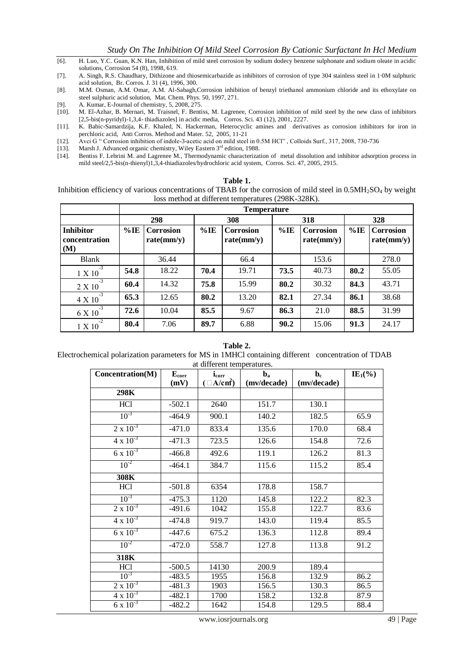- [6]. H. Luo, Y.C. Guan, K.N. Han, Inhibition of mild steel corrosion by sodium dodecy benzene sulphonate and sodium oleate in acidic solutions, Corrosion 54 (8), 1998, 619.
- [7]. A. Singh, R.S. Chaudhary, Dithizone and thiosemicarbazide as inhibitors of corrosion of type 304 stainless steel in 1·0M sulphuric acid solution, Br. Corros. J. 31 (4), 1996, 300.
- [8]. M.M. Osman, A.M. Omar, A.M. Al-Sabagh,Corrosion inhibition of benzyl triethanol ammonium chloride and its ethoxylate on steel sulphuric acid solution, Mat. Chem. Phys. 50, 1997, 271.
- [9]. A. Kumar, E-Journal of chemistry, 5, 2008, 275.
- [10]. M. El-Azhar, B. Mernari, M. Traisnel, F. Bentiss, M. Lagrenee, Corrosion inhibition of mild steel by the new class of inhibitors [2,5-bis(n-pyridyl)-1,3,4- thiadiazoles] in acidic media, Corros. Sci. 43 (12), 2001, 2227.
- [11]. K. Babic-Samardzija, K.F. Khaled, N. Hackerman, Heterocyclic amines and derivatives as corrosion inhibitors for iron in perchloric acid, Anti Corros. Method and Mater. 52, 2005, 11-21
- [12]. Avci G " Corrosion inhibition of indole-3-acetic acid on mild steel in 0.5M HCl" , Colloids Surf., 317, 2008, 730-736
- [13]. Marsh J. Advanced organic chemistry, Wiley Eastern  $3<sup>rd</sup>$  edition, 1988.<br>[14]. Bentiss F. Lebrini M. and Lagrenee M., Thermodynamic characterizat
- [14]. Bentiss F. Lebrini M. and Lagrenee M., Thermodynamic characterization of metal dissolution and inhibitor adsorption process in mild steel/2,5-bis(n-thienyl)1,3,4-thiadiazoles/hydrochloric acid system, Corros. Sci. 47, 2005, 2915.

|  | l'able |  |  |
|--|--------|--|--|
|--|--------|--|--|

Inhibition efficiency of various concentrations of TBAB for the corrosion of mild steel in  $0.5MH<sub>2</sub>SO<sub>4</sub>$  by weight loss method at different temperatures (298K-328K).

|                                          |        | <b>Temperature</b>             |        |                         |        |                         |        |                                |  |
|------------------------------------------|--------|--------------------------------|--------|-------------------------|--------|-------------------------|--------|--------------------------------|--|
|                                          |        | 298                            |        | 308                     |        | 318                     | 328    |                                |  |
| <b>Inhibitor</b><br>concentration<br>(M) | $%$ IE | <b>Corrosion</b><br>rate(mm/y) | $%$ IE | Corrosion<br>rate(mm/y) | $%$ IE | Corrosion<br>rate(mm/y) | $%$ IE | <b>Corrosion</b><br>rate(mm/y) |  |
| Blank                                    |        | 36.44                          |        | 66.4                    |        | 153.6                   |        | 278.0                          |  |
| $-3$<br>1 X 10                           | 54.8   | 18.22                          | 70.4   | 19.71                   | 73.5   | 40.73                   | 80.2   | 55.05                          |  |
| $-3$<br>2 X 10                           | 60.4   | 14.32                          | 75.8   | 15.99                   | 80.2   | 30.32                   | 84.3   | 43.71                          |  |
| $-3$<br>4 X 10                           | 65.3   | 12.65                          | 80.2   | 13.20                   | 82.1   | 27.34                   | 86.1   | 38.68                          |  |
| $-3$<br>6 X 10                           | 72.6   | 10.04                          | 85.5   | 9.67                    | 86.3   | 21.0                    | 88.5   | 31.99                          |  |
| $-2$<br>1 X 10                           | 80.4   | 7.06                           | 89.7   | 6.88                    | 90.2   | 15.06                   | 91.3   | 24.17                          |  |

### **Table 2.** Electrochemical polarization parameters for MS in 1MHCl containing different concentration of TDAB at different temperatures.

| Concentration(M)   | ${\bf E}_{\rm corr}$ | at annoi ont ton<br>$i_{corr}$ | $\mathbf{b}_\mathbf{a}$ | $\mathbf{b}_{\rm c}$ | $IE_1\ensuremath{(\%)}$ |
|--------------------|----------------------|--------------------------------|-------------------------|----------------------|-------------------------|
|                    | (mV)                 | $(\Box A/cm^2)$                | (mv/decade)             | (mv/decade)          |                         |
| 298K               |                      |                                |                         |                      |                         |
| HCl                | $-502.1$             | 2640                           | 151.7                   | 130.1                |                         |
| $10^{-3}$          | $-464.9$             | 900.1                          | 140.2                   | 182.5                | 65.9                    |
| $2 \times 10^{-3}$ | $-471.0$             | 833.4                          | 135.6                   | 170.0                | 68.4                    |
| $4 \times 10^{-3}$ | $-471.3$             | 723.5                          | 126.6                   | 154.8                | 72.6                    |
| $6 \times 10^{-3}$ | $-466.8$             | 492.6                          | 119.1                   | 126.2                | 81.3                    |
| $10^{-2}$          | $-464.1$             | 384.7                          | 115.6                   | 115.2                | 85.4                    |
| 308K               |                      |                                |                         |                      |                         |
| <b>HCl</b>         | $-501.8$             | 6354                           | 178.8                   | 158.7                |                         |
| $10^{-3}$          | $-475.3$             | 1120                           | 145.8                   | 122.2                | 82.3                    |
| $2 \times 10^{-3}$ | $-491.6$             | 1042                           | 155.8                   | 122.7                | 83.6                    |
| $4 \times 10^{-3}$ | $-474.8$             | 919.7                          | 143.0                   | 119.4                | 85.5                    |
| $6 \times 10^{-3}$ | $-447.6$             | 675.2                          | 136.3                   | 112.8                | 89.4                    |
| $10^{-2}$          | $-472.0$             | 558.7                          | 127.8                   | 113.8                | 91.2                    |
| 318K               |                      |                                |                         |                      |                         |
| HC <sub>1</sub>    | $-500.5$             | 14130                          | 200.9                   | 189.4                |                         |
| $10^{-3}$          | $-483.5$             | 1955                           | 156.8                   | 132.9                | 86.2                    |
| $2 \times 10^{-3}$ | $-481.3$             | 1903                           | 156.5                   | 130.3                | 86.5                    |
| $4 \times 10^{-3}$ | $-482.1$             | 1700                           | 158.2                   | 132.8                | 87.9                    |
| $6 \times 10^{-3}$ | $-482.2$             | 1642                           | 154.8                   | 129.5                | 88.4                    |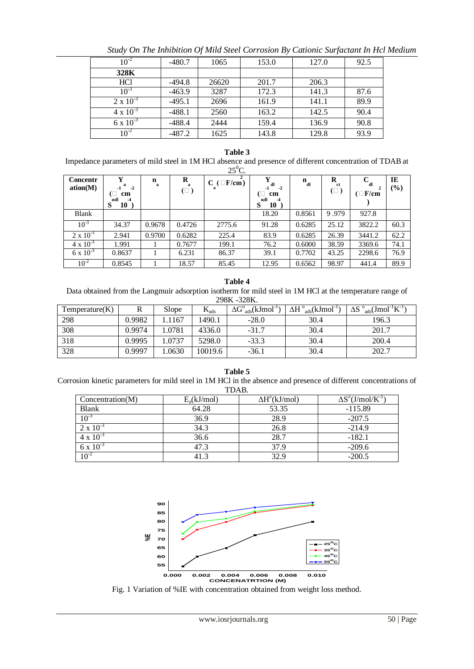| $10^{-2}$          | $-480.7$ | 1065  | 153.0 | 127.0 | 92.5 |
|--------------------|----------|-------|-------|-------|------|
| 328K               |          |       |       |       |      |
| <b>HCl</b>         | -494.8   | 26620 | 201.7 | 206.3 |      |
| $10^{-3}$          | $-463.9$ | 3287  | 172.3 | 141.3 | 87.6 |
| $2 \times 10^{-3}$ | $-495.1$ | 2696  | 161.9 | 141.1 | 89.9 |
| $4 \times 10^{-3}$ | $-488.1$ | 2560  | 163.2 | 142.5 | 90.4 |
| $6 \times 10^{-3}$ | $-488.4$ | 2444  | 159.4 | 136.9 | 90.8 |
| 10 <sup>-4</sup>   | $-487.2$ | 1625  | 143.8 | 129.8 | 93.9 |

*Study On The Inhibition Of Mild Steel Corrosion By Cationic Surfactant In Hcl Medium*

# **Table 3**

Impedance parameters of mild steel in 1M HCl absence and presence of different concentration of TDABat

|                      |                                                                 |                  |                    | $25^0C$ .          |                                                     |              |                      |                          |           |
|----------------------|-----------------------------------------------------------------|------------------|--------------------|--------------------|-----------------------------------------------------|--------------|----------------------|--------------------------|-----------|
| Concentr<br>ation(M) | Y<br>я<br>$-2$<br>(L<br>cm<br>ndl<br>-4<br>S<br>10 <sup>2</sup> | $\mathbf n$<br>a | R<br>a<br>$(\Box)$ | $C$ ( $\Box$ F/cm) | v<br>dl<br>$-2$<br>-1<br>cm<br>ndl<br>-4<br>S<br>10 | $n_{\rm dl}$ | R<br>-ct<br>$(\Box)$ | C<br>dl<br>$(\Box F/cm)$ | IE<br>(%) |
| <b>Blank</b>         |                                                                 |                  |                    |                    | 18.20                                               | 0.8561       | 9.979                | 927.8                    |           |
| $10^{-3}$            | 34.37                                                           | 0.9678           | 0.4726             | 2775.6             | 91.28                                               | 0.6285       | 25.12                | 3822.2                   | 60.3      |
| $2 \times 10^{-3}$   | 2.941                                                           | 0.9700           | 0.6282             | 225.4              | 83.9                                                | 0.6285       | 26.39                | 3441.2                   | 62.2      |
| $4 \times 10^{-3}$   | 1.991                                                           |                  | 0.7677             | 199.1              | 76.2                                                | 0.6000       | 38.59                | 3369.6                   | 74.1      |
| $6 \times 10^{-3}$   | 0.8637                                                          |                  | 6.231              | 86.37              | 39.1                                                | 0.7702       | 43.25                | 2298.6                   | 76.9      |
| $10^{-2}$            | 0.8545                                                          |                  | 18.57              | 85.45              | 12.95                                               | 0.6562       | 98.97                | 441.4                    | 89.9      |

## **Table 4**

Data obtained from the Langmuir adsorption isotherm for mild steel in 1M HCl at the temperature range of 298K -328K.

| Temperature(K) |        | Slope  | $K_{ads}$ | $\Delta G^{\circ}$ <sub>ads</sub> (kJmol <sup>-</sup> | $\Delta H^{\circ}$ <sub>ads</sub> $(kJmol^{-1})$ | $\Delta S$ $_{ads}^{0}$ (Jmol <sup>-1</sup> K <sup>-1</sup> ) |
|----------------|--------|--------|-----------|-------------------------------------------------------|--------------------------------------------------|---------------------------------------------------------------|
| 298            | 0.9982 | .1167  | 1490.1    | $-28.0$                                               | 30.4                                             | 196.3                                                         |
| 308            | 0.9974 | 1.0781 | 4336.0    | $-31.7$                                               | 30.4                                             | 201.7                                                         |
| 318            | 0.9995 | .0737  | 5298.0    | $-33.3$                                               | 30.4                                             | 200.4                                                         |
| 328            | 0.9997 | .0630  | 10019.6   | $-36.1$                                               | 30.4                                             | 202.7                                                         |

**Table 5** Corrosion kinetic parameters for mild steel in 1M HCl in the absence and presence of different concentrations of TDAB.

| Concentration(M)   | $E_a(kJ/mol)$ | $\Delta H^{\neq}$ (kJ/mol) | $\Delta S^{\neq}$ (J/mol/K <sup>-1</sup> ) |
|--------------------|---------------|----------------------------|--------------------------------------------|
| Blank              | 64.28         | 53.35                      | $-115.89$                                  |
| $10^{-3}$          | 36.9          | 28.9                       | $-207.5$                                   |
| $2 \times 10^{-3}$ | 34.3          | 26.8                       | $-214.9$                                   |
| $4 \times 10^{-3}$ | 36.6          | 28.7                       | $-182.1$                                   |
| 6 x $10^{-3}$      | 47.3          | 37.9                       | $-209.6$                                   |
| $10^{-4}$          | 41.3          | 32.9                       | $-200.5$                                   |



Fig. 1 Variation of %IE with concentration obtained from weight loss method.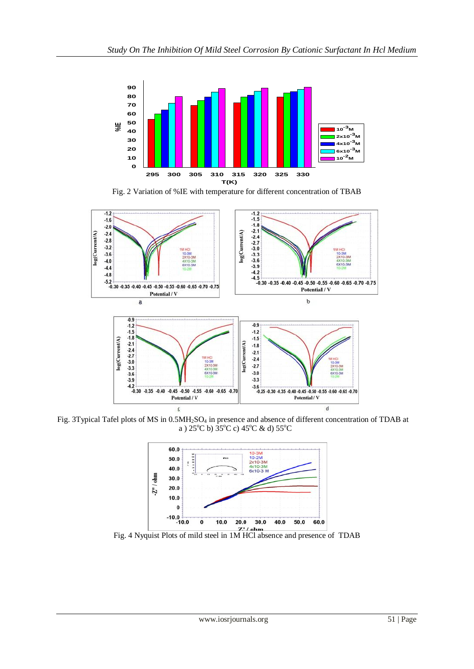

Fig. 2 Variation of %IE with temperature for different concentration of TBAB



Fig. 3Typical Tafel plots of MS in 0.5MH<sub>2</sub>SO<sub>4</sub> in presence and absence of different concentration of TDAB at a )  $25^{\circ}$ C b)  $35^{\circ}$ C c)  $45^{\circ}$ C & d)  $55^{\circ}$ C



Fig. 4 Nyquist Plots of mild steel in 1M HCl absence and presence of TDAB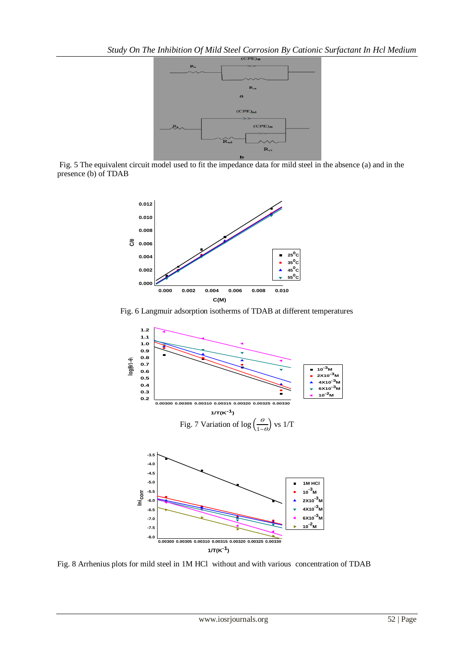

Fig. 5 The equivalent circuit model used to fit the impedance data for mild steel in the absence (a) and in the presence (b) of TDAB



Fig. 6 Langmuir adsorption isotherms of TDAB at different temperatures



Fig. 8 Arrhenius plots for mild steel in 1M HCl without and with various concentration of TDAB